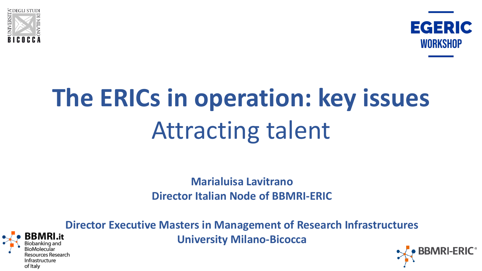



# **The ERICs in operation: key issues Attracting talent**

**Marialuisa Lavitrano Director Italian Node of BBMRI-ERIC** 



**Director Executive Masters in Management of Research Infrastructures University Milano-Bicocca**

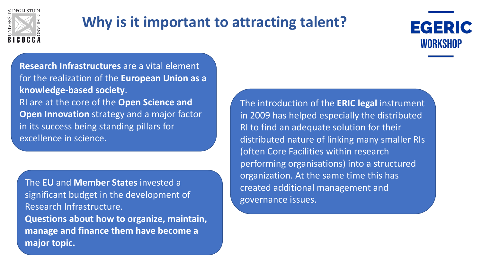

### **Why is it important to attracting talent?**



**Research Infrastructures** are a vital element for the realization of the **European Union as a knowledge-based society**. RI are at the core of the **Open Science and Open Innovation** strategy and a major factor in its success being standing pillars for excellence in science.

**The EU and Member States invested a** significant budget in the development of Research Infrastructure. **Questions about how to organize, maintain, manage and finance them have become a major topic.**

The introduction of the **ERIC legal** instrument in 2009 has helped especially the distributed RI to find an adequate solution for their distributed nature of linking many smaller RIs (often Core Facilities within research performing organisations) into a structured organization. At the same time this has created additional management and governance issues.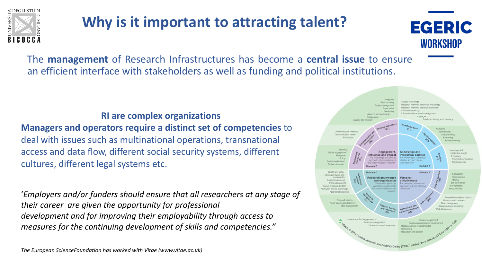

### **Why is it important to attracting talent?**



The **management** of Research Infrastructures has become a **central issue** to ensure an efficient interface with stakeholders as well as funding and political institutions.

### **RI** are complex organizations **Managers and operators require a distinct set of competencies** to deal with issues such as multinational operations, transnational access and data flow, different social security systems, different cultures, different legal systems etc.

'Employers and/or funders should ensure that all researchers at any stage of *their career are given the opportunity for professional* development and for improving their employability through access to *measures for the continuing development of skills and competencies."* 

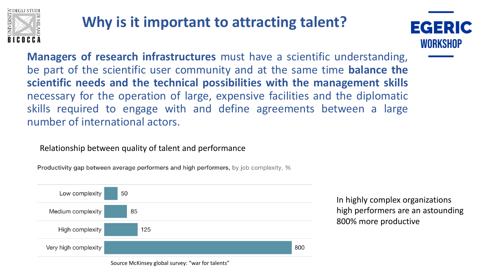

### **Why is it important to attracting talent?**



**Managers of research infrastructures** must have a scientific understanding, be part of the scientific user community and at the same time **balance the scientific needs and the technical possibilities with the management skills** necessary for the operation of large, expensive facilities and the diplomatic skills required to engage with and define agreements between a large number of international actors.

Relationship between quality of talent and performance

**Productivity gap between average performers and high performers,** by job complexity, %



In highly complex organizations high performers are an astounding 800% more productive

Source McKinsey global survey: "war for talents"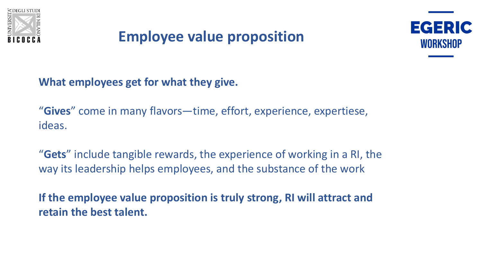

### **Employee value proposition**



**What employees get for what they give.** 

"**Gives**" come in many flavors—time, effort, experience, expertiese, ideas. 

"**Gets**" include tangible rewards, the experience of working in a RI, the way its leadership helps employees, and the substance of the work

**If the employee value proposition is truly strong, RI will attract and retain the best talent.**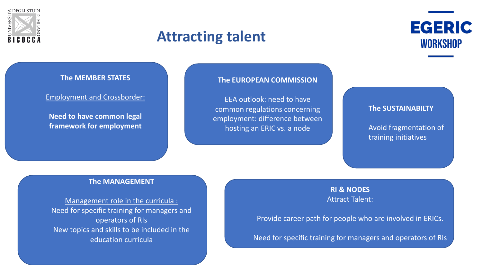

### **Attracting talent**



#### **The MEMBER STATES**

#### Employment and Crossborder:

**Need to have common legal framework for employment**

#### **The EUROPEAN COMMISSION**

EEA outlook: need to have common regulations concerning employment: difference between hosting an ERIC vs. a node

#### **The SUSTAINABILTY**

Avoid fragmentation of training initiatives

#### **The MANAGEMENT**

Management role in the curricula : Need for specific training for managers and operators of RIs New topics and skills to be included in the education curricula

#### **RI & NODES Attract Talent:**

Provide career path for people who are involved in ERICs.

Need for specific training for managers and operators of RIs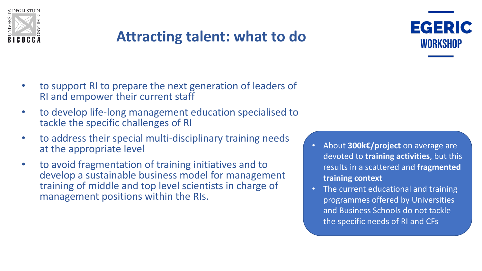

## **Attracting talent: what to do**



- to support RI to prepare the next generation of leaders of RI and empower their current staff
- to develop life-long management education specialised to tackle the specific challenges of RI
- to address their special multi-disciplinary training needs at the appropriate level
- to avoid fragmentation of training initiatives and to develop a sustainable business model for management training of middle and top level scientists in charge of management positions within the RIs.
- About **300k€/project** on average are devoted to **training activities**, but this results in a scattered and fragmented **training context**
- The current educational and training programmes offered by Universities and Business Schools do not tackle the specific needs of RI and CFs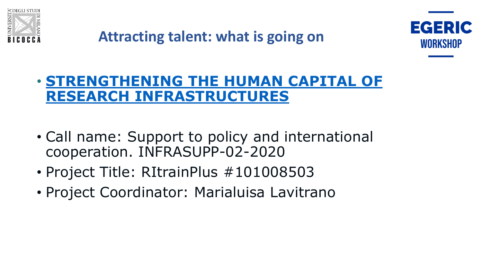



### • **STRENGTHENING THE HUMAN CAPITAL OF RESEARCH INFRASTRUCTURES**

- Call name: Support to policy and international cooperation. INFRASUPP-02-2020
- Project Title: RItrainPlus #101008503
- Project Coordinator: Marialuisa Lavitrano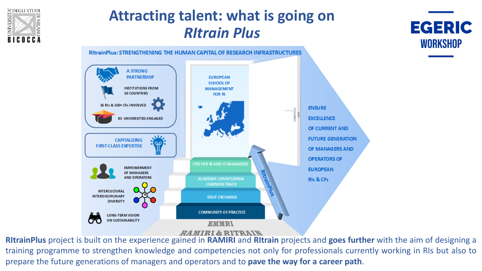

### **Attracting talent: what is going on** *RItrain Plus*





**RItrainPlus** project is built on the experience gained in **RAMIRI** and **RItrain** projects and **goes further** with the aim of designing a training programme to strengthen knowledge and competencies not only for professionals currently working in RIs but also to prepare the future generations of managers and operators and to **pave the way for a career path**.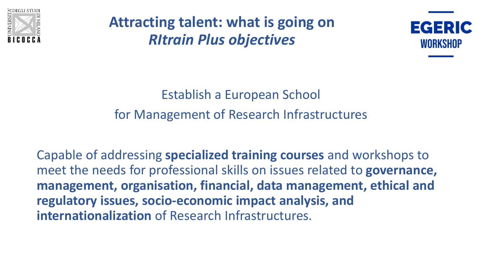

**Attracting talent: what is going on** *RItrain Plus objectives*



Establish a European School for Management of Research Infrastructures

Capable of addressing **specialized training courses** and workshops to meet the needs for professional skills on issues related to **governance**, management, organisation, financial, data management, ethical and regulatory issues, socio-economic impact analysis, and **internationalization** of Research Infrastructures.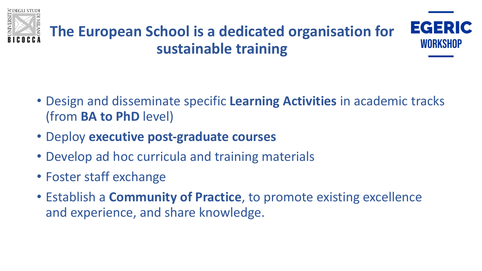



# **The European School is a dedicated organisation for sustainable training**

- Design and disseminate specific Learning Activities in academic tracks (from **BA to PhD** level)
- Deploy **executive post-graduate courses**
- Develop ad hoc curricula and training materials
- Foster staff exchange
- Establish a **Community of Practice**, to promote existing excellence and experience, and share knowledge.